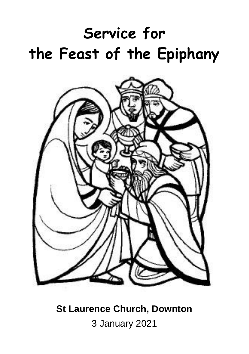# **Service for the Feast of the Epiphany**



**St Laurence Church, Downton** 3 January 2021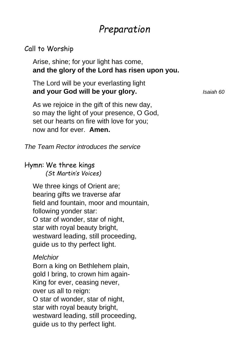## *Preparation*

#### Call to Worship

Arise, shine; for your light has come, **and the glory of the Lord has risen upon you.**

The Lord will be your everlasting light **and your God will be your glory.** *Isaiah 60*

As we rejoice in the gift of this new day, so may the light of your presence, O God, set our hearts on fire with love for you; now and for ever. **Amen.**

*The Team Rector introduces the service*

Hymn: We three kings *(St Martin's Voices)*

We three kings of Orient are; bearing gifts we traverse afar field and fountain, moor and mountain, following yonder star: O star of wonder, star of night, star with royal beauty bright, westward leading, still proceeding, guide us to thy perfect light.

#### *Melchior*

Born a king on Bethlehem plain, gold I bring, to crown him again-King for ever, ceasing never, over us all to reign: O star of wonder, star of night, star with royal beauty bright, westward leading, still proceeding, guide us to thy perfect light.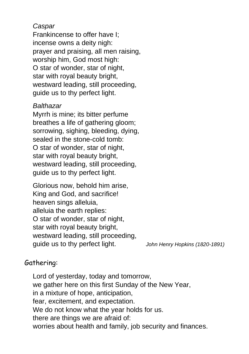#### *Caspar*

Frankincense to offer have I; incense owns a deity nigh: prayer and praising, all men raising, worship him, God most high: O star of wonder, star of night, star with royal beauty bright, westward leading, still proceeding, guide us to thy perfect light.

#### *Balthazar*

Myrrh is mine; its bitter perfume breathes a life of gathering gloom; sorrowing, sighing, bleeding, dying, sealed in the stone-cold tomb: O star of wonder, star of night, star with royal beauty bright, westward leading, still proceeding, guide us to thy perfect light.

Glorious now, behold him arise, King and God, and sacrifice! heaven sings alleluia, alleluia the earth replies: O star of wonder, star of night, star with royal beauty bright, westward leading, still proceeding, guide us to thy perfect light. *John Henry Hopkins (1820-1891)*

## Gathering:

Lord of yesterday, today and tomorrow, we gather here on this first Sunday of the New Year, in a mixture of hope, anticipation, fear, excitement, and expectation. We do not know what the year holds for us. there are things we are afraid of: worries about health and family, job security and finances.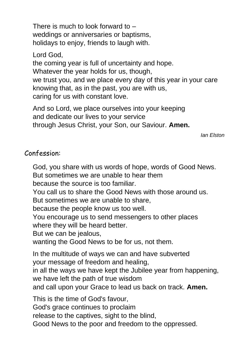There is much to look forward to – weddings or anniversaries or baptisms, holidays to enjoy, friends to laugh with.

Lord God,

the coming year is full of uncertainty and hope. Whatever the year holds for us, though, we trust you, and we place every day of this year in your care knowing that, as in the past, you are with us, caring for us with constant love.

And so Lord, we place ourselves into your keeping and dedicate our lives to your service through Jesus Christ, your Son, our Saviour. **Amen.**

*Ian Elston*

#### Confession:

God, you share with us words of hope, words of Good News. But sometimes we are unable to hear them because the source is too familiar. You call us to share the Good News with those around us. But sometimes we are unable to share, because the people know us too well. You encourage us to send messengers to other places where they will be heard better. But we can be jealous, wanting the Good News to be for us, not them. In the multitude of ways we can and have subverted your message of freedom and healing, in all the ways we have kept the Jubilee year from happening, we have left the path of true wisdom and call upon your Grace to lead us back on track. **Amen.** This is the time of God's favour,

God's grace continues to proclaim

release to the captives, sight to the blind,

Good News to the poor and freedom to the oppressed.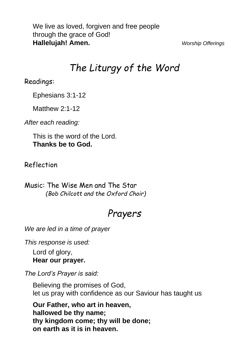We live as loved, forgiven and free people through the grace of God! **Hallelujah! Amen.** *Worship Offerings*

## *The Liturgy of the Word*

Readings:

Ephesians 3:1-12

Matthew 2:1-12

*After each reading:*

This is the word of the Lord. **Thanks be to God.**

Reflection

Music: The Wise Men and The Star *(Bob Chilcott and the Oxford Choir)*

## *Prayers*

*We are led in a time of prayer*

*This response is used:*

Lord of glory, **Hear our prayer.**

*The Lord's Prayer is said:*

Believing the promises of God, let us pray with confidence as our Saviour has taught us

**Our Father, who art in heaven, hallowed be thy name; thy kingdom come; thy will be done; on earth as it is in heaven.**